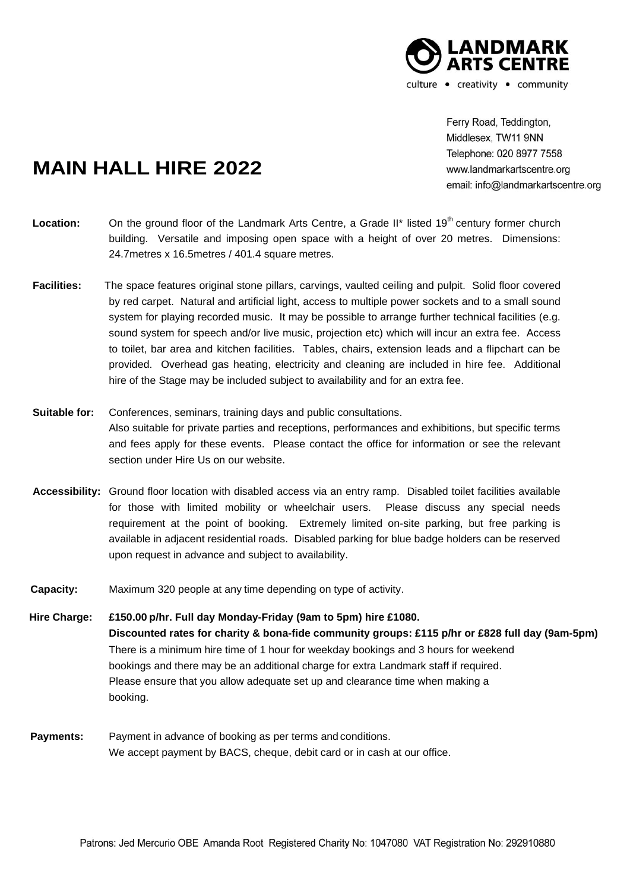

Ferry Road, Teddington, Middlesex, TW11 9NN Telephone: 020 8977 7558 www.landmarkartscentre.org email: info@landmarkartscentre.org

## **MAIN HALL HIRE 2022**

- Location: On the ground floor of the Landmark Arts Centre, a Grade II<sup>\*</sup> listed 19<sup>th</sup> century former church building. Versatile and imposing open space with a height of over 20 metres. Dimensions: 24.7metres x 16.5metres / 401.4 square metres.
- **Facilities:** The space features original stone pillars, carvings, vaulted ceiling and pulpit. Solid floor covered by red carpet. Natural and artificial light, access to multiple power sockets and to a small sound system for playing recorded music. It may be possible to arrange further technical facilities (e.g. sound system for speech and/or live music, projection etc) which will incur an extra fee. Access to toilet, bar area and kitchen facilities. Tables, chairs, extension leads and a flipchart can be provided. Overhead gas heating, electricity and cleaning are included in hire fee. Additional hire of the Stage may be included subject to availability and for an extra fee.
- **Suitable for:** Conferences, seminars, training days and public consultations. Also suitable for private parties and receptions, performances and exhibitions, but specific terms and fees apply for these events. Please contact the office for information or see the relevant section under Hire Us on our website.
- **Accessibility:** Ground floor location with disabled access via an entry ramp. Disabled toilet facilities available for those with limited mobility or wheelchair users. Please discuss any special needs requirement at the point of booking. Extremely limited on-site parking, but free parking is available in adjacent residential roads. Disabled parking for blue badge holders can be reserved upon request in advance and subject to availability.
- **Capacity:** Maximum 320 people at any time depending on type of activity.
- **Hire Charge: £150.00 p/hr. Full day Monday-Friday (9am to 5pm) hire £1080. Discounted rates for charity & bona-fide community groups: £115 p/hr or £828 full day (9am-5pm)** There is a minimum hire time of 1 hour for weekday bookings and 3 hours for weekend bookings and there may be an additional charge for extra Landmark staff if required. Please ensure that you allow adequate set up and clearance time when making a booking.
- **Payments:** Payment in advance of booking as per terms and conditions. We accept payment by BACS, cheque, debit card or in cash at our office.